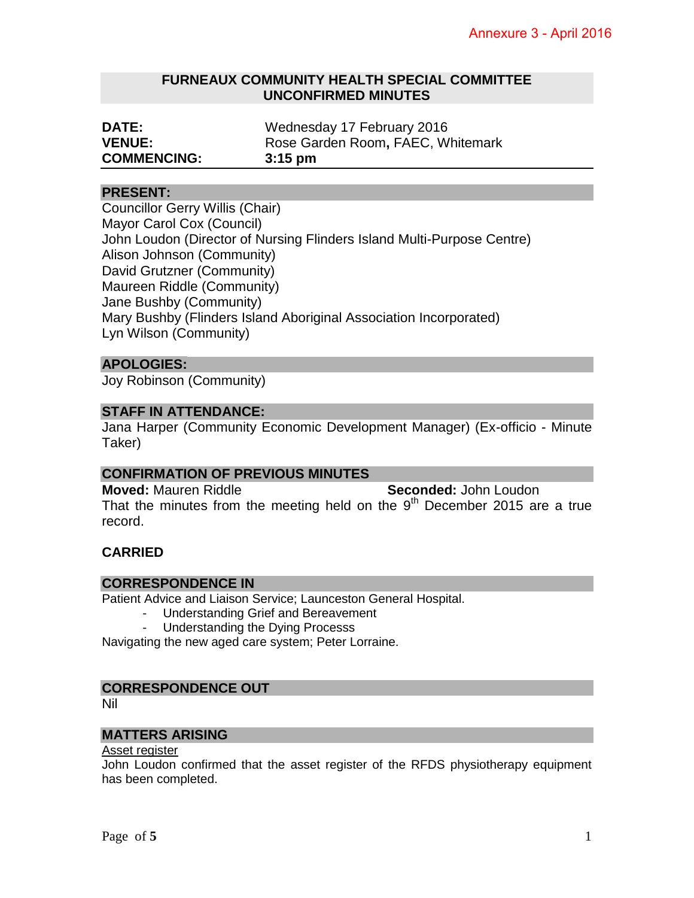## **FURNEAUX COMMUNITY HEALTH SPECIAL COMMITTEE UNCONFIRMED MINUTES**

| <b>DATE:</b>       | Wednesday 17 February 2016        |
|--------------------|-----------------------------------|
| <b>VENUE:</b>      | Rose Garden Room, FAEC, Whitemark |
| <b>COMMENCING:</b> | $3:15$ pm                         |

## **PRESENT:**

Councillor Gerry Willis (Chair) Mayor Carol Cox (Council) John Loudon (Director of Nursing Flinders Island Multi-Purpose Centre) Alison Johnson (Community) David Grutzner (Community) Maureen Riddle (Community) Jane Bushby (Community) Mary Bushby (Flinders Island Aboriginal Association Incorporated) Lyn Wilson (Community)

## **APOLOGIES:**

Joy Robinson (Community)

## **STAFF IN ATTENDANCE:**

Jana Harper (Community Economic Development Manager) (Ex-officio - Minute Taker)

## **CONFIRMATION OF PREVIOUS MINUTES**

**Moved:** Mauren Riddle **Seconded:** John Loudon That the minutes from the meeting held on the  $9<sup>th</sup>$  December 2015 are a true record.

# **CARRIED**

## **CORRESPONDENCE IN**

Patient Advice and Liaison Service; Launceston General Hospital.

- Understanding Grief and Bereavement
- Understanding the Dying Processs

Navigating the new aged care system; Peter Lorraine.

## **CORRESPONDENCE OUT**

Nil

## **MATTERS ARISING**

#### Asset register

John Loudon confirmed that the asset register of the RFDS physiotherapy equipment has been completed.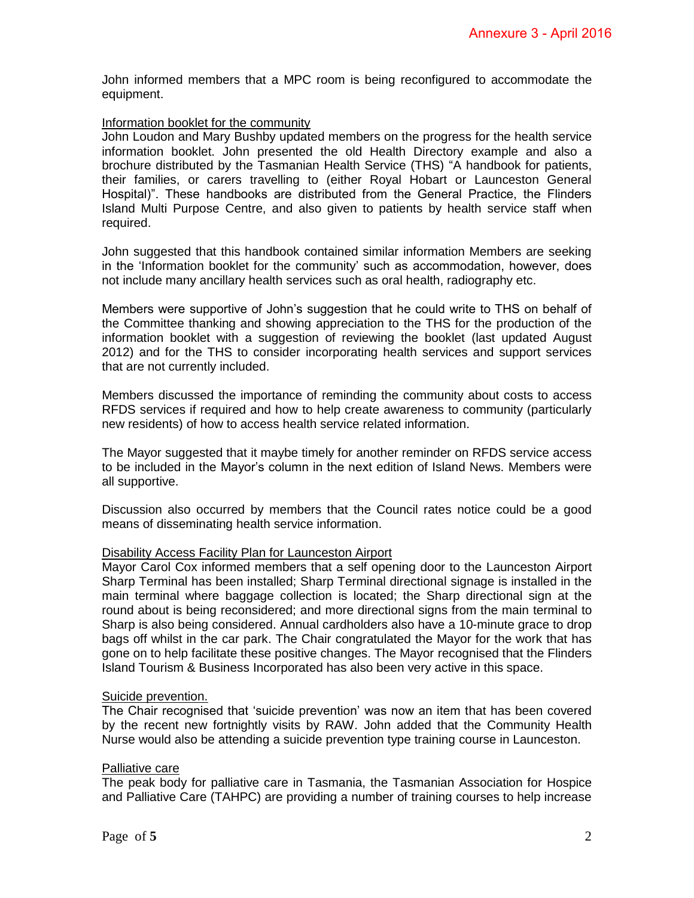John informed members that a MPC room is being reconfigured to accommodate the equipment.

#### Information booklet for the community

John Loudon and Mary Bushby updated members on the progress for the health service information booklet. John presented the old Health Directory example and also a brochure distributed by the Tasmanian Health Service (THS) "A handbook for patients, their families, or carers travelling to (either Royal Hobart or Launceston General Hospital)". These handbooks are distributed from the General Practice, the Flinders Island Multi Purpose Centre, and also given to patients by health service staff when required.

John suggested that this handbook contained similar information Members are seeking in the 'Information booklet for the community' such as accommodation, however, does not include many ancillary health services such as oral health, radiography etc.

Members were supportive of John's suggestion that he could write to THS on behalf of the Committee thanking and showing appreciation to the THS for the production of the information booklet with a suggestion of reviewing the booklet (last updated August 2012) and for the THS to consider incorporating health services and support services that are not currently included.

Members discussed the importance of reminding the community about costs to access RFDS services if required and how to help create awareness to community (particularly new residents) of how to access health service related information.

The Mayor suggested that it maybe timely for another reminder on RFDS service access to be included in the Mayor's column in the next edition of Island News. Members were all supportive.

Discussion also occurred by members that the Council rates notice could be a good means of disseminating health service information.

#### Disability Access Facility Plan for Launceston Airport

Mayor Carol Cox informed members that a self opening door to the Launceston Airport Sharp Terminal has been installed; Sharp Terminal directional signage is installed in the main terminal where baggage collection is located; the Sharp directional sign at the round about is being reconsidered; and more directional signs from the main terminal to Sharp is also being considered. Annual cardholders also have a 10-minute grace to drop bags off whilst in the car park. The Chair congratulated the Mayor for the work that has gone on to help facilitate these positive changes. The Mayor recognised that the Flinders Island Tourism & Business Incorporated has also been very active in this space.

#### Suicide prevention.

The Chair recognised that 'suicide prevention' was now an item that has been covered by the recent new fortnightly visits by RAW. John added that the Community Health Nurse would also be attending a suicide prevention type training course in Launceston.

#### Palliative care

The peak body for palliative care in Tasmania, the Tasmanian Association for Hospice and Palliative Care (TAHPC) are providing a number of training courses to help increase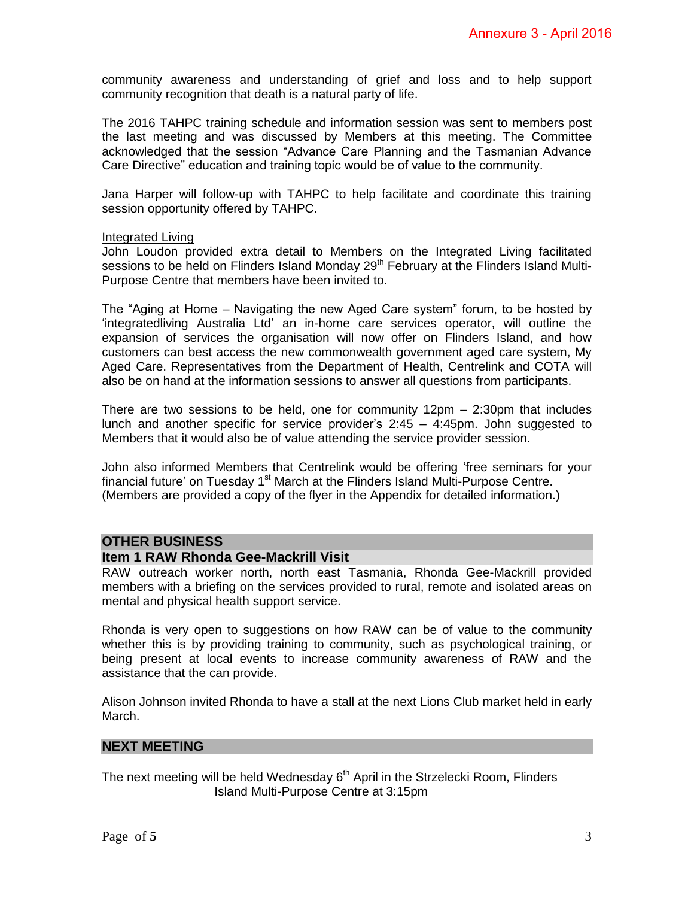community awareness and understanding of grief and loss and to help support community recognition that death is a natural party of life.

The 2016 TAHPC training schedule and information session was sent to members post the last meeting and was discussed by Members at this meeting. The Committee acknowledged that the session "Advance Care Planning and the Tasmanian Advance Care Directive" education and training topic would be of value to the community.

Jana Harper will follow-up with TAHPC to help facilitate and coordinate this training session opportunity offered by TAHPC.

#### Integrated Living

John Loudon provided extra detail to Members on the Integrated Living facilitated sessions to be held on Flinders Island Monday 29<sup>th</sup> February at the Flinders Island Multi-Purpose Centre that members have been invited to.

The "Aging at Home – Navigating the new Aged Care system" forum, to be hosted by 'integratedliving Australia Ltd' an in-home care services operator, will outline the expansion of services the organisation will now offer on Flinders Island, and how customers can best access the new commonwealth government aged care system, My Aged Care. Representatives from the Department of Health, Centrelink and COTA will also be on hand at the information sessions to answer all questions from participants.

There are two sessions to be held, one for community 12pm – 2:30pm that includes lunch and another specific for service provider's 2:45 – 4:45pm. John suggested to Members that it would also be of value attending the service provider session.

John also informed Members that Centrelink would be offering 'free seminars for your financial future' on Tuesday 1<sup>st</sup> March at the Flinders Island Multi-Purpose Centre. (Members are provided a copy of the flyer in the Appendix for detailed information.)

## **OTHER BUSINESS**

#### **Item 1 RAW Rhonda Gee-Mackrill Visit**

RAW outreach worker north, north east Tasmania, Rhonda Gee-Mackrill provided members with a briefing on the services provided to rural, remote and isolated areas on mental and physical health support service.

Rhonda is very open to suggestions on how RAW can be of value to the community whether this is by providing training to community, such as psychological training, or being present at local events to increase community awareness of RAW and the assistance that the can provide.

Alison Johnson invited Rhonda to have a stall at the next Lions Club market held in early March.

#### **NEXT MEETING**

The next meeting will be held Wednesday  $6<sup>th</sup>$  April in the Strzelecki Room, Flinders Island Multi-Purpose Centre at 3:15pm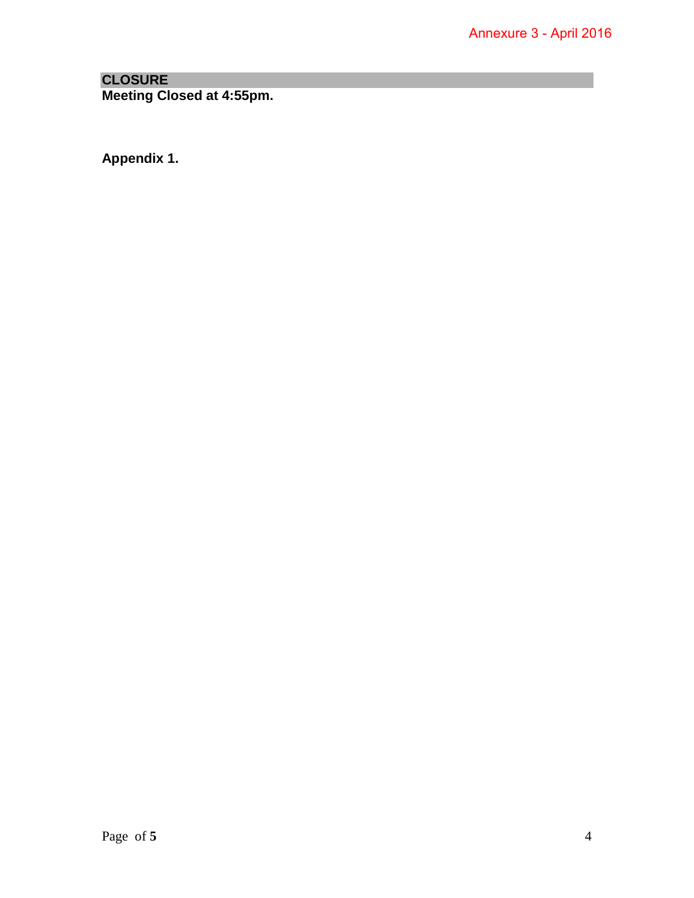# **CLOSURE Meeting Closed at 4:55pm.**

**Appendix 1.**